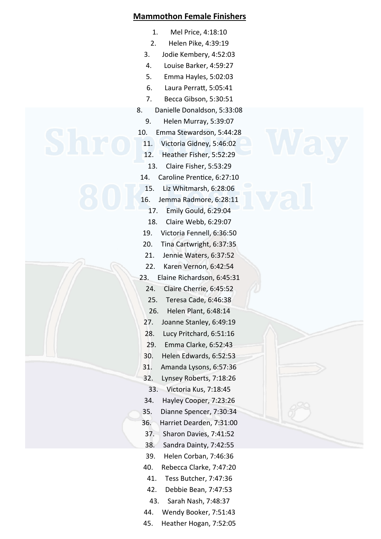## **Mammothon Female Finishers**

- 1. Mel Price, 4:18:10
- 2. Helen Pike, 4:39:19
- 3. Jodie Kembery, 4:52:03
- 4. Louise Barker, 4:59:27
- 5. Emma Hayles, 5:02:03
- 6. Laura Perratt, 5:05:41
- 7. Becca Gibson, 5:30:51
- 8. Danielle Donaldson, 5:33:08
	- 9. Helen Murray, 5:39:07
- 10. Emma Stewardson, 5:44:28
	- 11. Victoria Gidney, 5:46:02
	- 12. Heather Fisher, 5:52:29
	- 13. Claire Fisher, 5:53:29
- 14. Caroline Prentice, 6:27:10
	- 15. Liz Whitmarsh, 6:28:06
- 16. Jemma Radmore, 6:28:11
	- 17. Emily Gould, 6:29:04
- 18. Claire Webb, 6:29:07
- 19. Victoria Fennell, 6:36:50
- 20. Tina Cartwright, 6:37:35
- 21. Jennie Waters, 6:37:52
- 22. Karen Vernon, 6:42:54
- 23. Elaine Richardson, 6:45:31
	- 24. Claire Cherrie, 6:45:52
	- 25. Teresa Cade, 6:46:38
	- 26. Helen Plant, 6:48:14
	- 27. Joanne Stanley, 6:49:19
	- 28. Lucy Pritchard, 6:51:16
	- 29. Emma Clarke, 6:52:43
	- 30. Helen Edwards, 6:52:53
	- 31. Amanda Lysons, 6:57:36
	- 32. Lynsey Roberts, 7:18:26
	- 33. Victoria Kus, 7:18:45
	- 34. Hayley Cooper, 7:23:26
	- 35. Dianne Spencer, 7:30:34
- 36. Harriet Dearden, 7:31:00
	- 37. Sharon Davies, 7:41:52
	- 38. Sandra Dainty, 7:42:55
	- 39. Helen Corban, 7:46:36
	- 40. Rebecca Clarke, 7:47:20
	- 41. Tess Butcher, 7:47:36
	- 42. Debbie Bean, 7:47:53
	- 43. Sarah Nash, 7:48:37
	- 44. Wendy Booker, 7:51:43
- 45. Heather Hogan, 7:52:05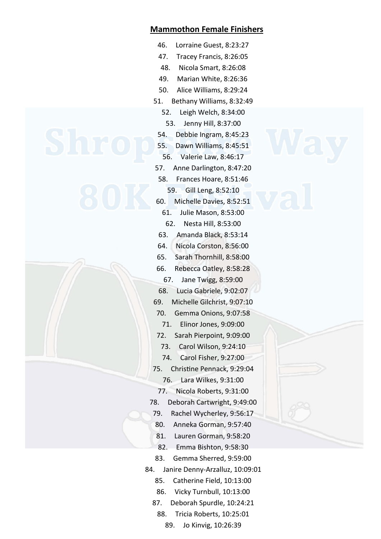## **Mammothon Female Finishers**

- 46. Lorraine Guest, 8:23:27
- 47. Tracey Francis, 8:26:05
- 48. Nicola Smart, 8:26:08
- 49. Marian White, 8:26:36
- 50. Alice Williams, 8:29:24
- 51. Bethany Williams, 8:32:49
	- 52. Leigh Welch, 8:34:00
	- 53. Jenny Hill, 8:37:00
	- 54. Debbie Ingram, 8:45:23
	- 55. Dawn Williams, 8:45:51
- 56. Valerie Law, 8:46:17
- 57. Anne Darlington, 8:47:20
- 58. Frances Hoare, 8:51:46
- 59. Gill Leng, 8:52:10 60. Michelle Davies, 8:52:51
- 61. Julie Mason, 8:53:00
- 62. Nesta Hill, 8:53:00
- 63. Amanda Black, 8:53:14
- 64. Nicola Corston, 8:56:00
- 65. Sarah Thornhill, 8:58:00
- 66. Rebecca Oatley, 8:58:28
- 67. Jane Twigg, 8:59:00 68. Lucia Gabriele, 9:02:07
- 69. Michelle Gilchrist, 9:07:10
- 70. Gemma Onions, 9:07:58
- 71. Elinor Jones, 9:09:00
- 72. Sarah Pierpoint, 9:09:00
- 73. Carol Wilson, 9:24:10
- 74. Carol Fisher, 9:27:00
- 75. Christine Pennack, 9:29:04
	- 76. Lara Wilkes, 9:31:00
	- 77. Nicola Roberts, 9:31:00
- 78. Deborah Cartwright, 9:49:00
- 79. Rachel Wycherley, 9:56:17
	- 80. Anneka Gorman, 9:57:40
	- 81. Lauren Gorman, 9:58:20
	- 82. Emma Bishton, 9:58:30
	- 83. Gemma Sherred, 9:59:00
- 84. Janire Denny-Arzalluz, 10:09:01
	- 85. Catherine Field, 10:13:00
	- 86. Vicky Turnbull, 10:13:00
	- 87. Deborah Spurdle, 10:24:21
	- 88. Tricia Roberts, 10:25:01
		- 89. Jo Kinvig, 10:26:39